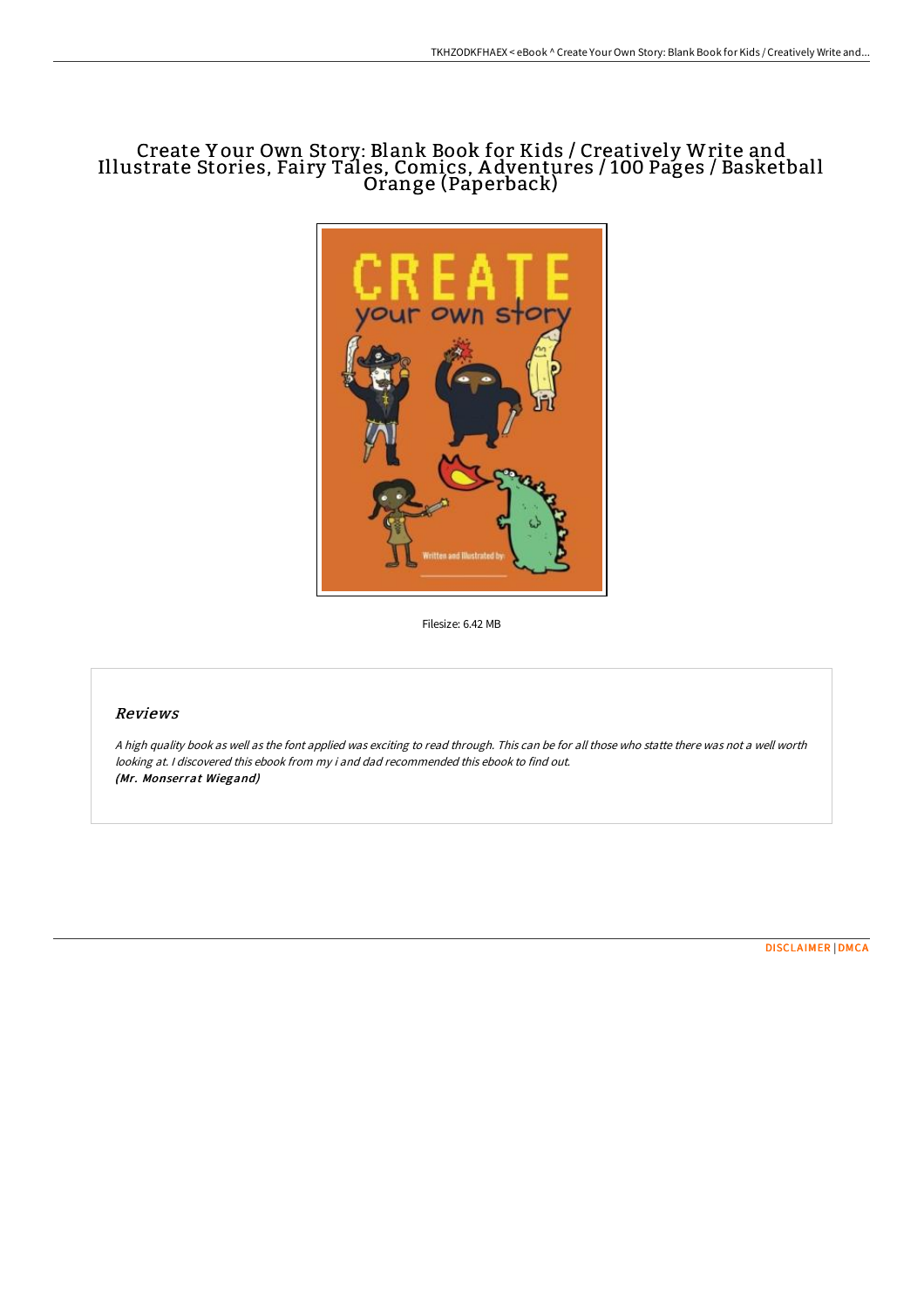## Create Y our Own Story: Blank Book for Kids / Creatively Write and Illustrate Stories, Fairy Tales, Comics, A dventures / 100 Pages / Basketball Orange (Paperback)



Filesize: 6.42 MB

### Reviews

<sup>A</sup> high quality book as well as the font applied was exciting to read through. This can be for all those who statte there was not <sup>a</sup> well worth looking at. <sup>I</sup> discovered this ebook from my i and dad recommended this ebook to find out. (Mr. Monserrat Wiegand)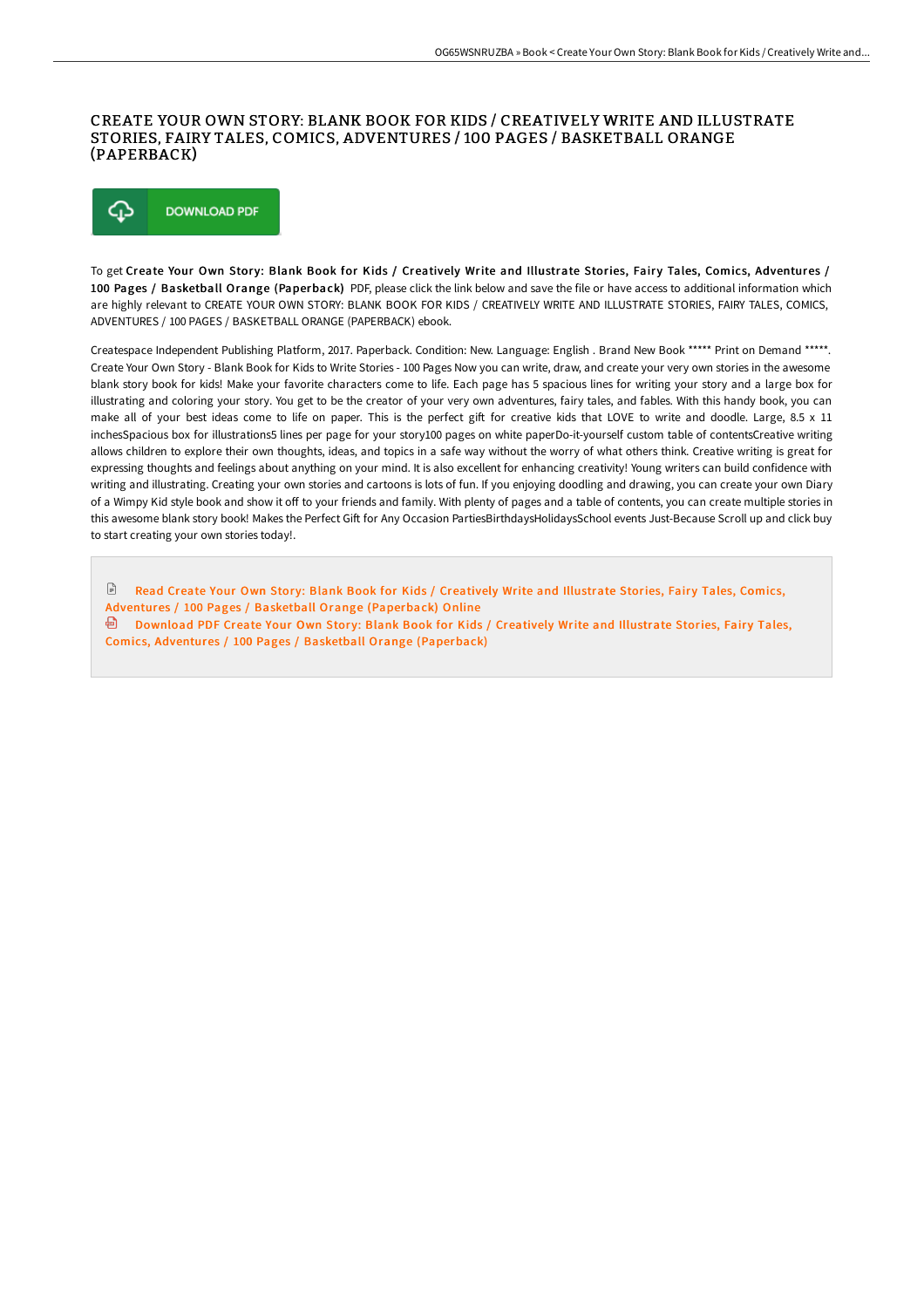### CREATE YOUR OWN STORY: BLANK BOOK FOR KIDS / CREATIVELY WRITE AND ILLUSTRATE STORIES, FAIRY TALES, COMICS, ADVENTURES / 100 PAGES / BASKETBALL ORANGE (PAPERBACK)



To get Create Your Own Story: Blank Book for Kids / Creatively Write and Illustrate Stories, Fairy Tales, Comics, Adventures / 100 Pages / Basketball Orange (Paperback) PDF, please click the link below and save the file or have access to additional information which are highly relevant to CREATE YOUR OWN STORY: BLANK BOOK FOR KIDS / CREATIVELY WRITE AND ILLUSTRATE STORIES, FAIRY TALES, COMICS, ADVENTURES / 100 PAGES / BASKETBALL ORANGE (PAPERBACK) ebook.

Createspace Independent Publishing Platform, 2017. Paperback. Condition: New. Language: English . Brand New Book \*\*\*\*\* Print on Demand \*\*\*\*\*. Create Your Own Story - Blank Book for Kids to Write Stories - 100 Pages Now you can write, draw, and create your very own stories in the awesome blank story book for kids! Make your favorite characters come to life. Each page has 5 spacious lines for writing your story and a large box for illustrating and coloring your story. You get to be the creator of your very own adventures, fairy tales, and fables. With this handy book, you can make all of your best ideas come to life on paper. This is the perfect gift for creative kids that LOVE to write and doodle. Large, 8.5 x 11 inchesSpacious box for illustrations5 lines per page for your story100 pages on white paperDo-it-yourself custom table of contentsCreative writing allows children to explore their own thoughts, ideas, and topics in a safe way without the worry of what others think. Creative writing is great for expressing thoughts and feelings about anything on your mind. It is also excellent for enhancing creativity! Young writers can build confidence with writing and illustrating. Creating your own stories and cartoons is lots of fun. If you enjoying doodling and drawing, you can create your own Diary of a Wimpy Kid style book and show it off to your friends and family. With plenty of pages and a table of contents, you can create multiple stories in this awesome blank story book! Makes the Perfect Gift for Any Occasion PartiesBirthdaysHolidaysSchool events Just-Because Scroll up and click buy to start creating your own stories today!.

 $\sqrt{2}$ Read Create Your Own Story: Blank Book for Kids / Creatively Write and Illustrate Stories, Fairy Tales, Comics, Adventures / 100 Pages / Basketball Orange [\(Paperback\)](http://digilib.live/create-your-own-story-blank-book-for-kids-x2f-cr-4.html) Online <sup>回</sup> Download PDF Create Your Own Story: Blank Book for Kids / Creatively Write and Illustrate Stories, Fairy Tales, Comics, Adventures / 100 Pages / Basketball Orange [\(Paperback\)](http://digilib.live/create-your-own-story-blank-book-for-kids-x2f-cr-4.html)